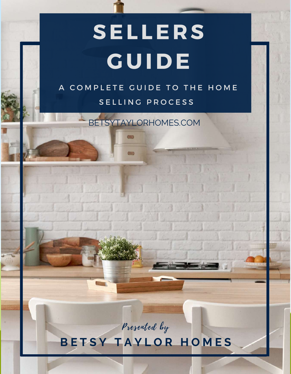# **SEL LE R S GUIDE**

#### A COMPLETE GUIDE TO THE HOME S E L L I N G PROCESS

BETSYTAYLORHOMES.COM

 $(m)$ 

Presented by

#### **B E T S Y T A Y L O R H O M E S**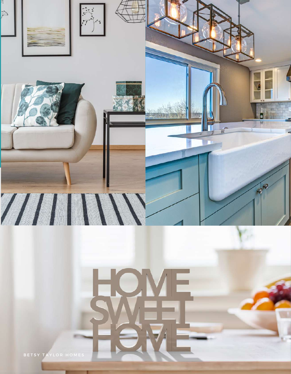

BETSY TAYLOR HOMES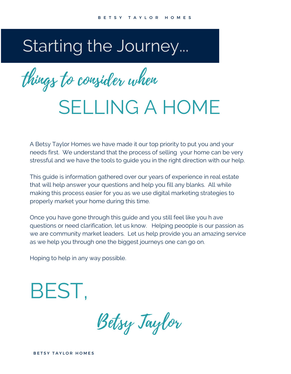# Starting the Journey...

things to consider when

# SELLING A HOME

A Betsy Taylor Homes we have made it our top priority to put you and your needs first. We understand that the process of selling your home can be very stressful and we have the tools to guide you in the right direction with our help.

This guide is information gathered over our years of experience in real estate that will help answer your questions and help you fill any blanks. All while making this process easier for you as we use digital marketing strategies to properly market your home during this time.

Once you have gone through this guide and you still feel like you h ave questions or need clarification, let us know. Helping peo0ple is our passion as we are community market leaders. Let us help provide you an amazing service as we help you through one the biggest journeys one can go on.

Hoping to help in any way possible.

BEST,

Betsy Taylor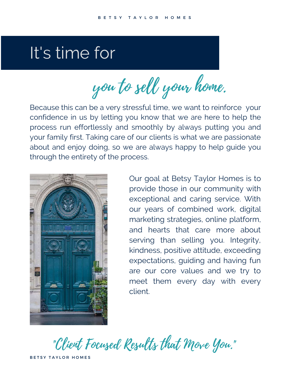# It's time for

you to sell your home.

Because this can be a very stressful time, we want to reinforce your confidence in us by letting you know that we are here to help the process run effortlessly and smoothly by always putting you and your family first. Taking care of our clients is what we are passionate about and enjoy doing, so we are always happy to help guide you through the entirety of the process.



Our goal at Betsy Taylor Homes is to provide those in our community with exceptional and caring service. With our years of combined work, digital marketing strategies, online platform, and hearts that care more about serving than selling you. Integrity, kindness, positive attitude, exceeding expectations, guiding and having fun are our core values and we try to meet them every day with every client.

"Client Focused Results that Move You."

BETSY TAYLOR HOMES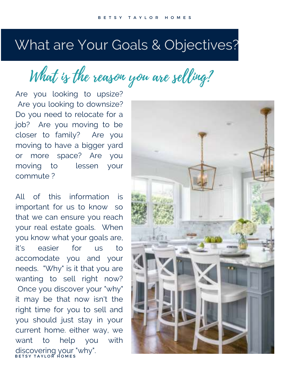### What are Your Goals & Objectives?

What is the reason you are selling?

Are you looking to upsize? Are you looking to downsize? Do you need to relocate for a job? Are you moving to be closer to family? Are you moving to have a bigger yard or more space? Are you moving to lessen your commute ?

All of this information is important for us to know so that we can ensure you reach your real estate goals. When you know what your goals are, it's easier for us to accomodate you and your needs. "Why" is it that you are wanting to sell right now? Once you discover your "why" it may be that now isn't the right time for you to sell and you should just stay in your current home. either way, we want to help you with discovering your "why".<br>BETSY TAYLOR HOMES

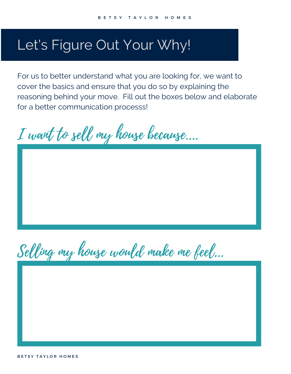#### Let's Figure Out Your Why!

For us to better understand what you are looking for, we want to cover the basics and ensure that you do so by explaining the reasoning behind your move. Fill out the boxes below and elaborate for a better communication processs!

I want to sell my house because....

Selling my house would make me feel...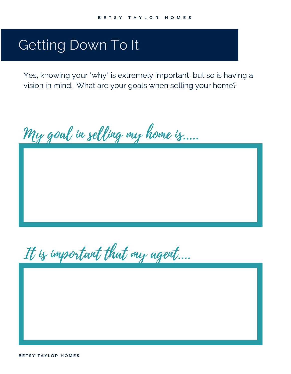### Getting Down To It

Yes, knowing your "why" is extremely important, but so is having a vision in mind. What are your goals when selling your home?

My goal in selling my home is.....

It is important that my agent....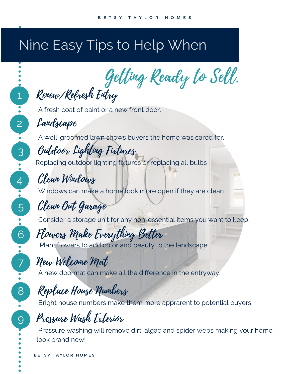## Nine Easy Tips to Help When

Getting Ready to Sell.

Renew/Refresh Entry

A fresh coat of paint or a new front door.

Landscape

1

2

3

4

5

6

7

9

8

A well-groomed lawn shows buyers the home was cared for.

Outdoor Lighting Fixtures Replacing outdoor lighting fixtures or replacing all bulbs

Clean Windows Windows can make a home look more open if they are clean

#### Clean Out Garage

Consider a storage unit for any non-essential items you want to keep.

Flowers Make Everything Better Plant flowers to add color and beauty to the landscape.

New Welcome Mat

A new doormat can make all the difference in the entryway.

#### Replace House Numbers

Bright house numbers make them more apprarent to potential buyers

Pressure Wash Exterior

Pressure washing will remove dirt, algae and spider webs making your home look brand new!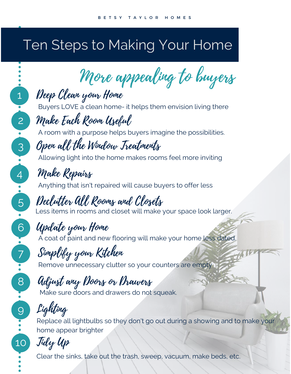## Ten Steps to Making Your Home

More appealing to buyers

Deep Clean your Home Buyers LOVE a clean home- it helps them envision living there

#### Make Each Room Useful

A room with a purpose helps buyers imagine the possibilities.

Open all the Window Treatments

Allowing light into the home makes rooms feel more inviting

#### Make Repairs

1

2

3

4

5<br>5

6

7

9

8

Anything that isn't repaired will cause buyers to offer less

Declutter All Rooms and Closets Less items in rooms and closet will make your space look larger.

#### Update your Home

A coat of paint and new flooring will make your home less dated.

Simplify your Kitchen

Remove unnecessary clutter so your counters are empty

### Adjust any Doors or Drawers

Make sure doors and drawers do not squeak.

Lighting

Replace all lightbulbs so they don't go out during a showing and to make your home appear brighter

### 10 Tidy Up

Clear the sinks, take out the trash, sweep, vacuum, make beds, etc.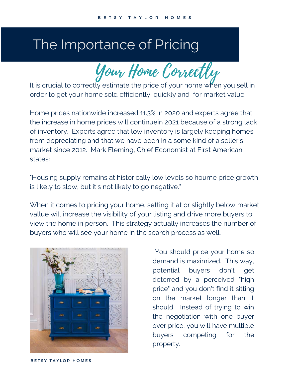#### The Importance of Pricing

Your Home Correctly

It is crucial to correctly estimate the price of your home when you sell in order to get your home sold efficiently, quickly and for market value.

Home prices nationwide increased 11.3% in 2020 and experts agree that the increase in home prices will continuein 2021 because of a strong lack of inventory. Experts agree that low inventory is largely keeping homes from depreciating and that we have been in a some kind of a seller's market since 2012. Mark Fleming, Chief Economist at First American states:

"Housing supply remains at historically low levels so houme price growth is likely to slow, but it's not likely to go negative."

When it comes to pricing your home, setting it at or slightly below market vallue will increase the visibility of your listing and drive more buyers to view the home in person. This strategy actually increases the number of buyers who will see your home in the search process as well.



You should price your home so demand is maximized. This way, potential buyers don't get deterred by a perceived "high price" and you don't find it sitting on the market longer than it should. Instead of trying to win the negotiation with one buyer over price, you will have multiple buyers competing for the property.

BETSY TAYLOR HOMES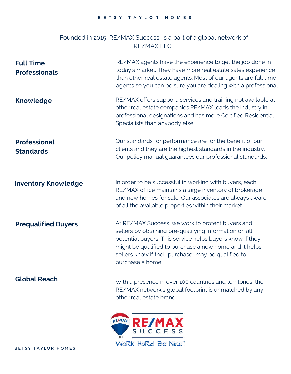#### Founded in 2015, RE/MAX Success, is a part of a global network of RE/MAX LLC.

| <b>Full Time</b><br><b>Professionals</b> | RE/MAX agents have the experience to get the job done in<br>today's market. They have more real estate sales experience<br>than other real estate agents. Most of our agents are full time<br>agents so you can be sure you are dealing with a professional.                                                |
|------------------------------------------|-------------------------------------------------------------------------------------------------------------------------------------------------------------------------------------------------------------------------------------------------------------------------------------------------------------|
| <b>Knowledge</b>                         | RE/MAX offers support, services and training not available at<br>other real estate companies.RE/MAX leads the industry in<br>professional designations and has more Certified Residential<br>Specialists than anybody else.                                                                                 |
| <b>Professional</b><br><b>Standards</b>  | Our standards for performance are for the benefit of our<br>clients and they are the highest standards in the industry.<br>Our policy manual guarantees our professional standards.                                                                                                                         |
| <b>Inventory Knowledge</b>               | In order to be successful in working with buyers, each<br>RE/MAX office maintains a large inventory of brokerage<br>and new homes for sale. Our associates are always aware<br>of all the available properties within their market.                                                                         |
| <b>Prequalified Buyers</b>               | At RE/MAX Success, we work to protect buyers and<br>sellers by obtaining pre-qualifying information on all<br>potential buyers. This service helps buyers know if they<br>might be qualified to purchase a new home and it helps<br>sellers know if their purchaser may be qualified to<br>purchase a home. |
| <b>Global Reach</b>                      | With a presence in over 100 countries and territories, the<br>RE/MAX network's global footprint is unmatched by any<br>other real estate brand.                                                                                                                                                             |
|                                          |                                                                                                                                                                                                                                                                                                             |